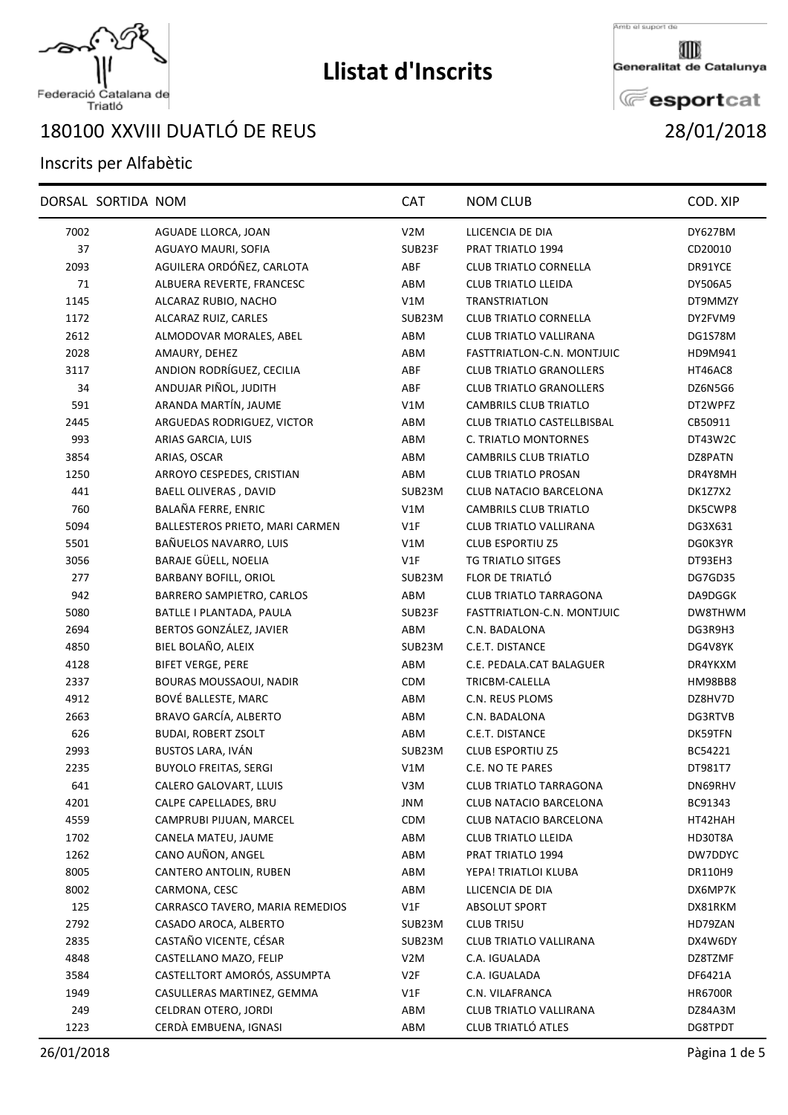

## **Llistat d'Inscrits**

Amb el suport de

Generalitat de Catalunya

**E**esportcat

## Federació Catalana de<br>Triatló

## XXVIII DUATLÓ DE REUS 28/01/2018

## Inscrits per Alfabètic

| V2M<br>DY627BM<br>7002<br>AGUADE LLORCA, JOAN<br>LLICENCIA DE DIA<br>37<br>AGUAYO MAURI, SOFIA<br>SUB23F<br>PRAT TRIATLO 1994<br>CD20010<br>AGUILERA ORDÓÑEZ, CARLOTA<br>2093<br>ABF<br><b>CLUB TRIATLO CORNELLA</b><br>DR91YCE<br>71<br>ALBUERA REVERTE, FRANCESC<br>ABM<br><b>CLUB TRIATLO LLEIDA</b><br>DY506A5<br>1145<br>V1M<br>TRANSTRIATLON<br>ALCARAZ RUBIO, NACHO<br>DT9MMZY<br>1172<br>ALCARAZ RUIZ, CARLES<br>SUB23M<br><b>CLUB TRIATLO CORNELLA</b><br>DY2FVM9<br>2612<br><b>CLUB TRIATLO VALLIRANA</b><br>ALMODOVAR MORALES, ABEL<br>ABM<br>DG1S78M<br>2028<br>AMAURY, DEHEZ<br>ABM<br>FASTTRIATLON-C.N. MONTJUIC<br>HD9M941<br>ANDION RODRÍGUEZ, CECILIA<br>ABF<br>3117<br><b>CLUB TRIATLO GRANOLLERS</b><br>HT46AC8<br>ANDUJAR PIÑOL, JUDITH<br>34<br>ABF<br><b>CLUB TRIATLO GRANOLLERS</b><br>DZ6N5G6<br>ARANDA MARTÍN, JAUME<br>591<br>V1M<br><b>CAMBRILS CLUB TRIATLO</b><br>DT2WPFZ<br>ARGUEDAS RODRIGUEZ, VICTOR<br>ABM<br>CLUB TRIATLO CASTELLBISBAL<br>2445<br>CB50911<br>993<br>C. TRIATLO MONTORNES<br>ARIAS GARCIA, LUIS<br>ABM<br>DT43W2C<br>ABM<br><b>CAMBRILS CLUB TRIATLO</b><br>DZ8PATN<br>3854<br>ARIAS, OSCAR<br>1250<br>ARROYO CESPEDES, CRISTIAN<br>ABM<br><b>CLUB TRIATLO PROSAN</b><br>DR4Y8MH<br>441<br>BAELL OLIVERAS, DAVID<br>SUB23M<br>CLUB NATACIO BARCELONA<br>DK1Z7X2<br>760<br>BALAÑA FERRE, ENRIC<br>V1M<br>CAMBRILS CLUB TRIATLO<br>DK5CWP8<br>5094<br>BALLESTEROS PRIETO, MARI CARMEN<br>V1F<br>CLUB TRIATLO VALLIRANA<br>DG3X631<br>BAÑUELOS NAVARRO, LUIS<br><b>CLUB ESPORTIU Z5</b><br>5501<br>V1M<br>DG0K3YR<br>BARAJE GÜELL, NOELIA<br>3056<br>VIF<br>TG TRIATLO SITGES<br>DT93EH3<br>277<br>BARBANY BOFILL, ORIOL<br>FLOR DE TRIATLÓ<br>SUB23M<br>DG7GD35<br>942<br>BARRERO SAMPIETRO, CARLOS<br>ABM<br><b>CLUB TRIATLO TARRAGONA</b><br>DA9DGGK<br>5080<br>BATLLE I PLANTADA, PAULA<br>SUB23F<br>FASTTRIATLON-C.N. MONTJUIC<br>DW8THWM<br>BERTOS GONZÁLEZ, JAVIER<br>2694<br>C.N. BADALONA<br>ABM<br>DG3R9H3<br>BIEL BOLAÑO, ALEIX<br>SUB23M<br>C.E.T. DISTANCE<br>4850<br>DG4V8YK<br>4128<br><b>BIFET VERGE, PERE</b><br>ABM<br>C.E. PEDALA.CAT BALAGUER<br>DR4YKXM<br><b>BOURAS MOUSSAOUI, NADIR</b><br><b>CDM</b><br>TRICBM-CALELLA<br>2337<br>HM98BB8<br>BOVÉ BALLESTE, MARC<br>4912<br>ABM<br>C.N. REUS PLOMS<br>DZ8HV7D<br>2663<br>BRAVO GARCÍA, ALBERTO<br>ABM<br>C.N. BADALONA<br>DG3RTVB<br>626<br><b>BUDAI, ROBERT ZSOLT</b><br>C.E.T. DISTANCE<br>ABM<br>DK59TFN<br>BUSTOS LARA, IVÁN<br>2993<br>SUB23M<br><b>CLUB ESPORTIU Z5</b><br>BC54221<br>2235<br><b>BUYOLO FREITAS, SERGI</b><br>C.E. NO TE PARES<br>V1M<br>DT981T7<br>641<br>CALERO GALOVART, LLUIS<br>V <sub>3</sub> M<br><b>CLUB TRIATLO TARRAGONA</b><br>DN69RHV<br>4201<br>CALPE CAPELLADES, BRU<br><b>JNM</b><br>BC91343<br>CLUB NATACIO BARCELONA<br>4559<br>CDM<br>CAMPRUBI PIJUAN, MARCEL<br>CLUB NATACIO BARCELONA<br>HT42HAH<br>1702<br>CANELA MATEU, JAUME<br>ABM<br><b>CLUB TRIATLO LLEIDA</b><br>HD30T8A<br>CANO AUÑON, ANGEL<br>1262<br>ABM<br>PRAT TRIATLO 1994<br>DW7DDYC<br>8005<br>CANTERO ANTOLIN, RUBEN<br>ABM<br>YEPA! TRIATLOI KLUBA<br>DR110H9<br>8002<br>CARMONA, CESC<br>ABM<br>DX6MP7K<br>LLICENCIA DE DIA<br>125<br>CARRASCO TAVERO, MARIA REMEDIOS<br>V1F<br>ABSOLUT SPORT<br>DX81RKM<br>2792<br>CASADO AROCA, ALBERTO<br><b>CLUB TRI5U</b><br>SUB23M<br>HD79ZAN<br>CASTAÑO VICENTE, CÉSAR<br>2835<br>SUB23M<br>CLUB TRIATLO VALLIRANA<br>DX4W6DY<br>CASTELLANO MAZO, FELIP<br>4848<br>V <sub>2</sub> M<br>C.A. IGUALADA<br>DZ8TZMF<br>CASTELLTORT AMORÓS, ASSUMPTA<br>V2F<br>3584<br>C.A. IGUALADA<br>DF6421A<br>1949<br>CASULLERAS MARTINEZ, GEMMA<br>V1F<br>C.N. VILAFRANCA<br><b>HR6700R</b><br>CELDRAN OTERO, JORDI<br>249<br>ABM<br>CLUB TRIATLO VALLIRANA<br>DZ84A3M<br>CERDÀ EMBUENA, IGNASI<br>CLUB TRIATLÓ ATLES<br>1223<br>ABM<br>DG8TPDT | DORSAL SORTIDA NOM | <b>CAT</b> | <b>NOM CLUB</b> | COD. XIP |
|-------------------------------------------------------------------------------------------------------------------------------------------------------------------------------------------------------------------------------------------------------------------------------------------------------------------------------------------------------------------------------------------------------------------------------------------------------------------------------------------------------------------------------------------------------------------------------------------------------------------------------------------------------------------------------------------------------------------------------------------------------------------------------------------------------------------------------------------------------------------------------------------------------------------------------------------------------------------------------------------------------------------------------------------------------------------------------------------------------------------------------------------------------------------------------------------------------------------------------------------------------------------------------------------------------------------------------------------------------------------------------------------------------------------------------------------------------------------------------------------------------------------------------------------------------------------------------------------------------------------------------------------------------------------------------------------------------------------------------------------------------------------------------------------------------------------------------------------------------------------------------------------------------------------------------------------------------------------------------------------------------------------------------------------------------------------------------------------------------------------------------------------------------------------------------------------------------------------------------------------------------------------------------------------------------------------------------------------------------------------------------------------------------------------------------------------------------------------------------------------------------------------------------------------------------------------------------------------------------------------------------------------------------------------------------------------------------------------------------------------------------------------------------------------------------------------------------------------------------------------------------------------------------------------------------------------------------------------------------------------------------------------------------------------------------------------------------------------------------------------------------------------------------------------------------------------------------------------------------------------------------------------------------------------------------------------------------------------------------------------------------------------------------------------------------------------------------------------------------------------------------------------------------------------------------------------------------------------------------------------------------------------------------------------------------------------------------------------------------------------------------------------------------------------------------------|--------------------|------------|-----------------|----------|
|                                                                                                                                                                                                                                                                                                                                                                                                                                                                                                                                                                                                                                                                                                                                                                                                                                                                                                                                                                                                                                                                                                                                                                                                                                                                                                                                                                                                                                                                                                                                                                                                                                                                                                                                                                                                                                                                                                                                                                                                                                                                                                                                                                                                                                                                                                                                                                                                                                                                                                                                                                                                                                                                                                                                                                                                                                                                                                                                                                                                                                                                                                                                                                                                                                                                                                                                                                                                                                                                                                                                                                                                                                                                                                                                                                                                             |                    |            |                 |          |
|                                                                                                                                                                                                                                                                                                                                                                                                                                                                                                                                                                                                                                                                                                                                                                                                                                                                                                                                                                                                                                                                                                                                                                                                                                                                                                                                                                                                                                                                                                                                                                                                                                                                                                                                                                                                                                                                                                                                                                                                                                                                                                                                                                                                                                                                                                                                                                                                                                                                                                                                                                                                                                                                                                                                                                                                                                                                                                                                                                                                                                                                                                                                                                                                                                                                                                                                                                                                                                                                                                                                                                                                                                                                                                                                                                                                             |                    |            |                 |          |
|                                                                                                                                                                                                                                                                                                                                                                                                                                                                                                                                                                                                                                                                                                                                                                                                                                                                                                                                                                                                                                                                                                                                                                                                                                                                                                                                                                                                                                                                                                                                                                                                                                                                                                                                                                                                                                                                                                                                                                                                                                                                                                                                                                                                                                                                                                                                                                                                                                                                                                                                                                                                                                                                                                                                                                                                                                                                                                                                                                                                                                                                                                                                                                                                                                                                                                                                                                                                                                                                                                                                                                                                                                                                                                                                                                                                             |                    |            |                 |          |
|                                                                                                                                                                                                                                                                                                                                                                                                                                                                                                                                                                                                                                                                                                                                                                                                                                                                                                                                                                                                                                                                                                                                                                                                                                                                                                                                                                                                                                                                                                                                                                                                                                                                                                                                                                                                                                                                                                                                                                                                                                                                                                                                                                                                                                                                                                                                                                                                                                                                                                                                                                                                                                                                                                                                                                                                                                                                                                                                                                                                                                                                                                                                                                                                                                                                                                                                                                                                                                                                                                                                                                                                                                                                                                                                                                                                             |                    |            |                 |          |
|                                                                                                                                                                                                                                                                                                                                                                                                                                                                                                                                                                                                                                                                                                                                                                                                                                                                                                                                                                                                                                                                                                                                                                                                                                                                                                                                                                                                                                                                                                                                                                                                                                                                                                                                                                                                                                                                                                                                                                                                                                                                                                                                                                                                                                                                                                                                                                                                                                                                                                                                                                                                                                                                                                                                                                                                                                                                                                                                                                                                                                                                                                                                                                                                                                                                                                                                                                                                                                                                                                                                                                                                                                                                                                                                                                                                             |                    |            |                 |          |
|                                                                                                                                                                                                                                                                                                                                                                                                                                                                                                                                                                                                                                                                                                                                                                                                                                                                                                                                                                                                                                                                                                                                                                                                                                                                                                                                                                                                                                                                                                                                                                                                                                                                                                                                                                                                                                                                                                                                                                                                                                                                                                                                                                                                                                                                                                                                                                                                                                                                                                                                                                                                                                                                                                                                                                                                                                                                                                                                                                                                                                                                                                                                                                                                                                                                                                                                                                                                                                                                                                                                                                                                                                                                                                                                                                                                             |                    |            |                 |          |
|                                                                                                                                                                                                                                                                                                                                                                                                                                                                                                                                                                                                                                                                                                                                                                                                                                                                                                                                                                                                                                                                                                                                                                                                                                                                                                                                                                                                                                                                                                                                                                                                                                                                                                                                                                                                                                                                                                                                                                                                                                                                                                                                                                                                                                                                                                                                                                                                                                                                                                                                                                                                                                                                                                                                                                                                                                                                                                                                                                                                                                                                                                                                                                                                                                                                                                                                                                                                                                                                                                                                                                                                                                                                                                                                                                                                             |                    |            |                 |          |
|                                                                                                                                                                                                                                                                                                                                                                                                                                                                                                                                                                                                                                                                                                                                                                                                                                                                                                                                                                                                                                                                                                                                                                                                                                                                                                                                                                                                                                                                                                                                                                                                                                                                                                                                                                                                                                                                                                                                                                                                                                                                                                                                                                                                                                                                                                                                                                                                                                                                                                                                                                                                                                                                                                                                                                                                                                                                                                                                                                                                                                                                                                                                                                                                                                                                                                                                                                                                                                                                                                                                                                                                                                                                                                                                                                                                             |                    |            |                 |          |
|                                                                                                                                                                                                                                                                                                                                                                                                                                                                                                                                                                                                                                                                                                                                                                                                                                                                                                                                                                                                                                                                                                                                                                                                                                                                                                                                                                                                                                                                                                                                                                                                                                                                                                                                                                                                                                                                                                                                                                                                                                                                                                                                                                                                                                                                                                                                                                                                                                                                                                                                                                                                                                                                                                                                                                                                                                                                                                                                                                                                                                                                                                                                                                                                                                                                                                                                                                                                                                                                                                                                                                                                                                                                                                                                                                                                             |                    |            |                 |          |
|                                                                                                                                                                                                                                                                                                                                                                                                                                                                                                                                                                                                                                                                                                                                                                                                                                                                                                                                                                                                                                                                                                                                                                                                                                                                                                                                                                                                                                                                                                                                                                                                                                                                                                                                                                                                                                                                                                                                                                                                                                                                                                                                                                                                                                                                                                                                                                                                                                                                                                                                                                                                                                                                                                                                                                                                                                                                                                                                                                                                                                                                                                                                                                                                                                                                                                                                                                                                                                                                                                                                                                                                                                                                                                                                                                                                             |                    |            |                 |          |
|                                                                                                                                                                                                                                                                                                                                                                                                                                                                                                                                                                                                                                                                                                                                                                                                                                                                                                                                                                                                                                                                                                                                                                                                                                                                                                                                                                                                                                                                                                                                                                                                                                                                                                                                                                                                                                                                                                                                                                                                                                                                                                                                                                                                                                                                                                                                                                                                                                                                                                                                                                                                                                                                                                                                                                                                                                                                                                                                                                                                                                                                                                                                                                                                                                                                                                                                                                                                                                                                                                                                                                                                                                                                                                                                                                                                             |                    |            |                 |          |
|                                                                                                                                                                                                                                                                                                                                                                                                                                                                                                                                                                                                                                                                                                                                                                                                                                                                                                                                                                                                                                                                                                                                                                                                                                                                                                                                                                                                                                                                                                                                                                                                                                                                                                                                                                                                                                                                                                                                                                                                                                                                                                                                                                                                                                                                                                                                                                                                                                                                                                                                                                                                                                                                                                                                                                                                                                                                                                                                                                                                                                                                                                                                                                                                                                                                                                                                                                                                                                                                                                                                                                                                                                                                                                                                                                                                             |                    |            |                 |          |
|                                                                                                                                                                                                                                                                                                                                                                                                                                                                                                                                                                                                                                                                                                                                                                                                                                                                                                                                                                                                                                                                                                                                                                                                                                                                                                                                                                                                                                                                                                                                                                                                                                                                                                                                                                                                                                                                                                                                                                                                                                                                                                                                                                                                                                                                                                                                                                                                                                                                                                                                                                                                                                                                                                                                                                                                                                                                                                                                                                                                                                                                                                                                                                                                                                                                                                                                                                                                                                                                                                                                                                                                                                                                                                                                                                                                             |                    |            |                 |          |
|                                                                                                                                                                                                                                                                                                                                                                                                                                                                                                                                                                                                                                                                                                                                                                                                                                                                                                                                                                                                                                                                                                                                                                                                                                                                                                                                                                                                                                                                                                                                                                                                                                                                                                                                                                                                                                                                                                                                                                                                                                                                                                                                                                                                                                                                                                                                                                                                                                                                                                                                                                                                                                                                                                                                                                                                                                                                                                                                                                                                                                                                                                                                                                                                                                                                                                                                                                                                                                                                                                                                                                                                                                                                                                                                                                                                             |                    |            |                 |          |
|                                                                                                                                                                                                                                                                                                                                                                                                                                                                                                                                                                                                                                                                                                                                                                                                                                                                                                                                                                                                                                                                                                                                                                                                                                                                                                                                                                                                                                                                                                                                                                                                                                                                                                                                                                                                                                                                                                                                                                                                                                                                                                                                                                                                                                                                                                                                                                                                                                                                                                                                                                                                                                                                                                                                                                                                                                                                                                                                                                                                                                                                                                                                                                                                                                                                                                                                                                                                                                                                                                                                                                                                                                                                                                                                                                                                             |                    |            |                 |          |
|                                                                                                                                                                                                                                                                                                                                                                                                                                                                                                                                                                                                                                                                                                                                                                                                                                                                                                                                                                                                                                                                                                                                                                                                                                                                                                                                                                                                                                                                                                                                                                                                                                                                                                                                                                                                                                                                                                                                                                                                                                                                                                                                                                                                                                                                                                                                                                                                                                                                                                                                                                                                                                                                                                                                                                                                                                                                                                                                                                                                                                                                                                                                                                                                                                                                                                                                                                                                                                                                                                                                                                                                                                                                                                                                                                                                             |                    |            |                 |          |
|                                                                                                                                                                                                                                                                                                                                                                                                                                                                                                                                                                                                                                                                                                                                                                                                                                                                                                                                                                                                                                                                                                                                                                                                                                                                                                                                                                                                                                                                                                                                                                                                                                                                                                                                                                                                                                                                                                                                                                                                                                                                                                                                                                                                                                                                                                                                                                                                                                                                                                                                                                                                                                                                                                                                                                                                                                                                                                                                                                                                                                                                                                                                                                                                                                                                                                                                                                                                                                                                                                                                                                                                                                                                                                                                                                                                             |                    |            |                 |          |
|                                                                                                                                                                                                                                                                                                                                                                                                                                                                                                                                                                                                                                                                                                                                                                                                                                                                                                                                                                                                                                                                                                                                                                                                                                                                                                                                                                                                                                                                                                                                                                                                                                                                                                                                                                                                                                                                                                                                                                                                                                                                                                                                                                                                                                                                                                                                                                                                                                                                                                                                                                                                                                                                                                                                                                                                                                                                                                                                                                                                                                                                                                                                                                                                                                                                                                                                                                                                                                                                                                                                                                                                                                                                                                                                                                                                             |                    |            |                 |          |
|                                                                                                                                                                                                                                                                                                                                                                                                                                                                                                                                                                                                                                                                                                                                                                                                                                                                                                                                                                                                                                                                                                                                                                                                                                                                                                                                                                                                                                                                                                                                                                                                                                                                                                                                                                                                                                                                                                                                                                                                                                                                                                                                                                                                                                                                                                                                                                                                                                                                                                                                                                                                                                                                                                                                                                                                                                                                                                                                                                                                                                                                                                                                                                                                                                                                                                                                                                                                                                                                                                                                                                                                                                                                                                                                                                                                             |                    |            |                 |          |
|                                                                                                                                                                                                                                                                                                                                                                                                                                                                                                                                                                                                                                                                                                                                                                                                                                                                                                                                                                                                                                                                                                                                                                                                                                                                                                                                                                                                                                                                                                                                                                                                                                                                                                                                                                                                                                                                                                                                                                                                                                                                                                                                                                                                                                                                                                                                                                                                                                                                                                                                                                                                                                                                                                                                                                                                                                                                                                                                                                                                                                                                                                                                                                                                                                                                                                                                                                                                                                                                                                                                                                                                                                                                                                                                                                                                             |                    |            |                 |          |
|                                                                                                                                                                                                                                                                                                                                                                                                                                                                                                                                                                                                                                                                                                                                                                                                                                                                                                                                                                                                                                                                                                                                                                                                                                                                                                                                                                                                                                                                                                                                                                                                                                                                                                                                                                                                                                                                                                                                                                                                                                                                                                                                                                                                                                                                                                                                                                                                                                                                                                                                                                                                                                                                                                                                                                                                                                                                                                                                                                                                                                                                                                                                                                                                                                                                                                                                                                                                                                                                                                                                                                                                                                                                                                                                                                                                             |                    |            |                 |          |
|                                                                                                                                                                                                                                                                                                                                                                                                                                                                                                                                                                                                                                                                                                                                                                                                                                                                                                                                                                                                                                                                                                                                                                                                                                                                                                                                                                                                                                                                                                                                                                                                                                                                                                                                                                                                                                                                                                                                                                                                                                                                                                                                                                                                                                                                                                                                                                                                                                                                                                                                                                                                                                                                                                                                                                                                                                                                                                                                                                                                                                                                                                                                                                                                                                                                                                                                                                                                                                                                                                                                                                                                                                                                                                                                                                                                             |                    |            |                 |          |
|                                                                                                                                                                                                                                                                                                                                                                                                                                                                                                                                                                                                                                                                                                                                                                                                                                                                                                                                                                                                                                                                                                                                                                                                                                                                                                                                                                                                                                                                                                                                                                                                                                                                                                                                                                                                                                                                                                                                                                                                                                                                                                                                                                                                                                                                                                                                                                                                                                                                                                                                                                                                                                                                                                                                                                                                                                                                                                                                                                                                                                                                                                                                                                                                                                                                                                                                                                                                                                                                                                                                                                                                                                                                                                                                                                                                             |                    |            |                 |          |
|                                                                                                                                                                                                                                                                                                                                                                                                                                                                                                                                                                                                                                                                                                                                                                                                                                                                                                                                                                                                                                                                                                                                                                                                                                                                                                                                                                                                                                                                                                                                                                                                                                                                                                                                                                                                                                                                                                                                                                                                                                                                                                                                                                                                                                                                                                                                                                                                                                                                                                                                                                                                                                                                                                                                                                                                                                                                                                                                                                                                                                                                                                                                                                                                                                                                                                                                                                                                                                                                                                                                                                                                                                                                                                                                                                                                             |                    |            |                 |          |
|                                                                                                                                                                                                                                                                                                                                                                                                                                                                                                                                                                                                                                                                                                                                                                                                                                                                                                                                                                                                                                                                                                                                                                                                                                                                                                                                                                                                                                                                                                                                                                                                                                                                                                                                                                                                                                                                                                                                                                                                                                                                                                                                                                                                                                                                                                                                                                                                                                                                                                                                                                                                                                                                                                                                                                                                                                                                                                                                                                                                                                                                                                                                                                                                                                                                                                                                                                                                                                                                                                                                                                                                                                                                                                                                                                                                             |                    |            |                 |          |
|                                                                                                                                                                                                                                                                                                                                                                                                                                                                                                                                                                                                                                                                                                                                                                                                                                                                                                                                                                                                                                                                                                                                                                                                                                                                                                                                                                                                                                                                                                                                                                                                                                                                                                                                                                                                                                                                                                                                                                                                                                                                                                                                                                                                                                                                                                                                                                                                                                                                                                                                                                                                                                                                                                                                                                                                                                                                                                                                                                                                                                                                                                                                                                                                                                                                                                                                                                                                                                                                                                                                                                                                                                                                                                                                                                                                             |                    |            |                 |          |
|                                                                                                                                                                                                                                                                                                                                                                                                                                                                                                                                                                                                                                                                                                                                                                                                                                                                                                                                                                                                                                                                                                                                                                                                                                                                                                                                                                                                                                                                                                                                                                                                                                                                                                                                                                                                                                                                                                                                                                                                                                                                                                                                                                                                                                                                                                                                                                                                                                                                                                                                                                                                                                                                                                                                                                                                                                                                                                                                                                                                                                                                                                                                                                                                                                                                                                                                                                                                                                                                                                                                                                                                                                                                                                                                                                                                             |                    |            |                 |          |
|                                                                                                                                                                                                                                                                                                                                                                                                                                                                                                                                                                                                                                                                                                                                                                                                                                                                                                                                                                                                                                                                                                                                                                                                                                                                                                                                                                                                                                                                                                                                                                                                                                                                                                                                                                                                                                                                                                                                                                                                                                                                                                                                                                                                                                                                                                                                                                                                                                                                                                                                                                                                                                                                                                                                                                                                                                                                                                                                                                                                                                                                                                                                                                                                                                                                                                                                                                                                                                                                                                                                                                                                                                                                                                                                                                                                             |                    |            |                 |          |
|                                                                                                                                                                                                                                                                                                                                                                                                                                                                                                                                                                                                                                                                                                                                                                                                                                                                                                                                                                                                                                                                                                                                                                                                                                                                                                                                                                                                                                                                                                                                                                                                                                                                                                                                                                                                                                                                                                                                                                                                                                                                                                                                                                                                                                                                                                                                                                                                                                                                                                                                                                                                                                                                                                                                                                                                                                                                                                                                                                                                                                                                                                                                                                                                                                                                                                                                                                                                                                                                                                                                                                                                                                                                                                                                                                                                             |                    |            |                 |          |
|                                                                                                                                                                                                                                                                                                                                                                                                                                                                                                                                                                                                                                                                                                                                                                                                                                                                                                                                                                                                                                                                                                                                                                                                                                                                                                                                                                                                                                                                                                                                                                                                                                                                                                                                                                                                                                                                                                                                                                                                                                                                                                                                                                                                                                                                                                                                                                                                                                                                                                                                                                                                                                                                                                                                                                                                                                                                                                                                                                                                                                                                                                                                                                                                                                                                                                                                                                                                                                                                                                                                                                                                                                                                                                                                                                                                             |                    |            |                 |          |
|                                                                                                                                                                                                                                                                                                                                                                                                                                                                                                                                                                                                                                                                                                                                                                                                                                                                                                                                                                                                                                                                                                                                                                                                                                                                                                                                                                                                                                                                                                                                                                                                                                                                                                                                                                                                                                                                                                                                                                                                                                                                                                                                                                                                                                                                                                                                                                                                                                                                                                                                                                                                                                                                                                                                                                                                                                                                                                                                                                                                                                                                                                                                                                                                                                                                                                                                                                                                                                                                                                                                                                                                                                                                                                                                                                                                             |                    |            |                 |          |
|                                                                                                                                                                                                                                                                                                                                                                                                                                                                                                                                                                                                                                                                                                                                                                                                                                                                                                                                                                                                                                                                                                                                                                                                                                                                                                                                                                                                                                                                                                                                                                                                                                                                                                                                                                                                                                                                                                                                                                                                                                                                                                                                                                                                                                                                                                                                                                                                                                                                                                                                                                                                                                                                                                                                                                                                                                                                                                                                                                                                                                                                                                                                                                                                                                                                                                                                                                                                                                                                                                                                                                                                                                                                                                                                                                                                             |                    |            |                 |          |
|                                                                                                                                                                                                                                                                                                                                                                                                                                                                                                                                                                                                                                                                                                                                                                                                                                                                                                                                                                                                                                                                                                                                                                                                                                                                                                                                                                                                                                                                                                                                                                                                                                                                                                                                                                                                                                                                                                                                                                                                                                                                                                                                                                                                                                                                                                                                                                                                                                                                                                                                                                                                                                                                                                                                                                                                                                                                                                                                                                                                                                                                                                                                                                                                                                                                                                                                                                                                                                                                                                                                                                                                                                                                                                                                                                                                             |                    |            |                 |          |
|                                                                                                                                                                                                                                                                                                                                                                                                                                                                                                                                                                                                                                                                                                                                                                                                                                                                                                                                                                                                                                                                                                                                                                                                                                                                                                                                                                                                                                                                                                                                                                                                                                                                                                                                                                                                                                                                                                                                                                                                                                                                                                                                                                                                                                                                                                                                                                                                                                                                                                                                                                                                                                                                                                                                                                                                                                                                                                                                                                                                                                                                                                                                                                                                                                                                                                                                                                                                                                                                                                                                                                                                                                                                                                                                                                                                             |                    |            |                 |          |
|                                                                                                                                                                                                                                                                                                                                                                                                                                                                                                                                                                                                                                                                                                                                                                                                                                                                                                                                                                                                                                                                                                                                                                                                                                                                                                                                                                                                                                                                                                                                                                                                                                                                                                                                                                                                                                                                                                                                                                                                                                                                                                                                                                                                                                                                                                                                                                                                                                                                                                                                                                                                                                                                                                                                                                                                                                                                                                                                                                                                                                                                                                                                                                                                                                                                                                                                                                                                                                                                                                                                                                                                                                                                                                                                                                                                             |                    |            |                 |          |
|                                                                                                                                                                                                                                                                                                                                                                                                                                                                                                                                                                                                                                                                                                                                                                                                                                                                                                                                                                                                                                                                                                                                                                                                                                                                                                                                                                                                                                                                                                                                                                                                                                                                                                                                                                                                                                                                                                                                                                                                                                                                                                                                                                                                                                                                                                                                                                                                                                                                                                                                                                                                                                                                                                                                                                                                                                                                                                                                                                                                                                                                                                                                                                                                                                                                                                                                                                                                                                                                                                                                                                                                                                                                                                                                                                                                             |                    |            |                 |          |
|                                                                                                                                                                                                                                                                                                                                                                                                                                                                                                                                                                                                                                                                                                                                                                                                                                                                                                                                                                                                                                                                                                                                                                                                                                                                                                                                                                                                                                                                                                                                                                                                                                                                                                                                                                                                                                                                                                                                                                                                                                                                                                                                                                                                                                                                                                                                                                                                                                                                                                                                                                                                                                                                                                                                                                                                                                                                                                                                                                                                                                                                                                                                                                                                                                                                                                                                                                                                                                                                                                                                                                                                                                                                                                                                                                                                             |                    |            |                 |          |
|                                                                                                                                                                                                                                                                                                                                                                                                                                                                                                                                                                                                                                                                                                                                                                                                                                                                                                                                                                                                                                                                                                                                                                                                                                                                                                                                                                                                                                                                                                                                                                                                                                                                                                                                                                                                                                                                                                                                                                                                                                                                                                                                                                                                                                                                                                                                                                                                                                                                                                                                                                                                                                                                                                                                                                                                                                                                                                                                                                                                                                                                                                                                                                                                                                                                                                                                                                                                                                                                                                                                                                                                                                                                                                                                                                                                             |                    |            |                 |          |
|                                                                                                                                                                                                                                                                                                                                                                                                                                                                                                                                                                                                                                                                                                                                                                                                                                                                                                                                                                                                                                                                                                                                                                                                                                                                                                                                                                                                                                                                                                                                                                                                                                                                                                                                                                                                                                                                                                                                                                                                                                                                                                                                                                                                                                                                                                                                                                                                                                                                                                                                                                                                                                                                                                                                                                                                                                                                                                                                                                                                                                                                                                                                                                                                                                                                                                                                                                                                                                                                                                                                                                                                                                                                                                                                                                                                             |                    |            |                 |          |
|                                                                                                                                                                                                                                                                                                                                                                                                                                                                                                                                                                                                                                                                                                                                                                                                                                                                                                                                                                                                                                                                                                                                                                                                                                                                                                                                                                                                                                                                                                                                                                                                                                                                                                                                                                                                                                                                                                                                                                                                                                                                                                                                                                                                                                                                                                                                                                                                                                                                                                                                                                                                                                                                                                                                                                                                                                                                                                                                                                                                                                                                                                                                                                                                                                                                                                                                                                                                                                                                                                                                                                                                                                                                                                                                                                                                             |                    |            |                 |          |
|                                                                                                                                                                                                                                                                                                                                                                                                                                                                                                                                                                                                                                                                                                                                                                                                                                                                                                                                                                                                                                                                                                                                                                                                                                                                                                                                                                                                                                                                                                                                                                                                                                                                                                                                                                                                                                                                                                                                                                                                                                                                                                                                                                                                                                                                                                                                                                                                                                                                                                                                                                                                                                                                                                                                                                                                                                                                                                                                                                                                                                                                                                                                                                                                                                                                                                                                                                                                                                                                                                                                                                                                                                                                                                                                                                                                             |                    |            |                 |          |
|                                                                                                                                                                                                                                                                                                                                                                                                                                                                                                                                                                                                                                                                                                                                                                                                                                                                                                                                                                                                                                                                                                                                                                                                                                                                                                                                                                                                                                                                                                                                                                                                                                                                                                                                                                                                                                                                                                                                                                                                                                                                                                                                                                                                                                                                                                                                                                                                                                                                                                                                                                                                                                                                                                                                                                                                                                                                                                                                                                                                                                                                                                                                                                                                                                                                                                                                                                                                                                                                                                                                                                                                                                                                                                                                                                                                             |                    |            |                 |          |
|                                                                                                                                                                                                                                                                                                                                                                                                                                                                                                                                                                                                                                                                                                                                                                                                                                                                                                                                                                                                                                                                                                                                                                                                                                                                                                                                                                                                                                                                                                                                                                                                                                                                                                                                                                                                                                                                                                                                                                                                                                                                                                                                                                                                                                                                                                                                                                                                                                                                                                                                                                                                                                                                                                                                                                                                                                                                                                                                                                                                                                                                                                                                                                                                                                                                                                                                                                                                                                                                                                                                                                                                                                                                                                                                                                                                             |                    |            |                 |          |
|                                                                                                                                                                                                                                                                                                                                                                                                                                                                                                                                                                                                                                                                                                                                                                                                                                                                                                                                                                                                                                                                                                                                                                                                                                                                                                                                                                                                                                                                                                                                                                                                                                                                                                                                                                                                                                                                                                                                                                                                                                                                                                                                                                                                                                                                                                                                                                                                                                                                                                                                                                                                                                                                                                                                                                                                                                                                                                                                                                                                                                                                                                                                                                                                                                                                                                                                                                                                                                                                                                                                                                                                                                                                                                                                                                                                             |                    |            |                 |          |
|                                                                                                                                                                                                                                                                                                                                                                                                                                                                                                                                                                                                                                                                                                                                                                                                                                                                                                                                                                                                                                                                                                                                                                                                                                                                                                                                                                                                                                                                                                                                                                                                                                                                                                                                                                                                                                                                                                                                                                                                                                                                                                                                                                                                                                                                                                                                                                                                                                                                                                                                                                                                                                                                                                                                                                                                                                                                                                                                                                                                                                                                                                                                                                                                                                                                                                                                                                                                                                                                                                                                                                                                                                                                                                                                                                                                             |                    |            |                 |          |
|                                                                                                                                                                                                                                                                                                                                                                                                                                                                                                                                                                                                                                                                                                                                                                                                                                                                                                                                                                                                                                                                                                                                                                                                                                                                                                                                                                                                                                                                                                                                                                                                                                                                                                                                                                                                                                                                                                                                                                                                                                                                                                                                                                                                                                                                                                                                                                                                                                                                                                                                                                                                                                                                                                                                                                                                                                                                                                                                                                                                                                                                                                                                                                                                                                                                                                                                                                                                                                                                                                                                                                                                                                                                                                                                                                                                             |                    |            |                 |          |
|                                                                                                                                                                                                                                                                                                                                                                                                                                                                                                                                                                                                                                                                                                                                                                                                                                                                                                                                                                                                                                                                                                                                                                                                                                                                                                                                                                                                                                                                                                                                                                                                                                                                                                                                                                                                                                                                                                                                                                                                                                                                                                                                                                                                                                                                                                                                                                                                                                                                                                                                                                                                                                                                                                                                                                                                                                                                                                                                                                                                                                                                                                                                                                                                                                                                                                                                                                                                                                                                                                                                                                                                                                                                                                                                                                                                             |                    |            |                 |          |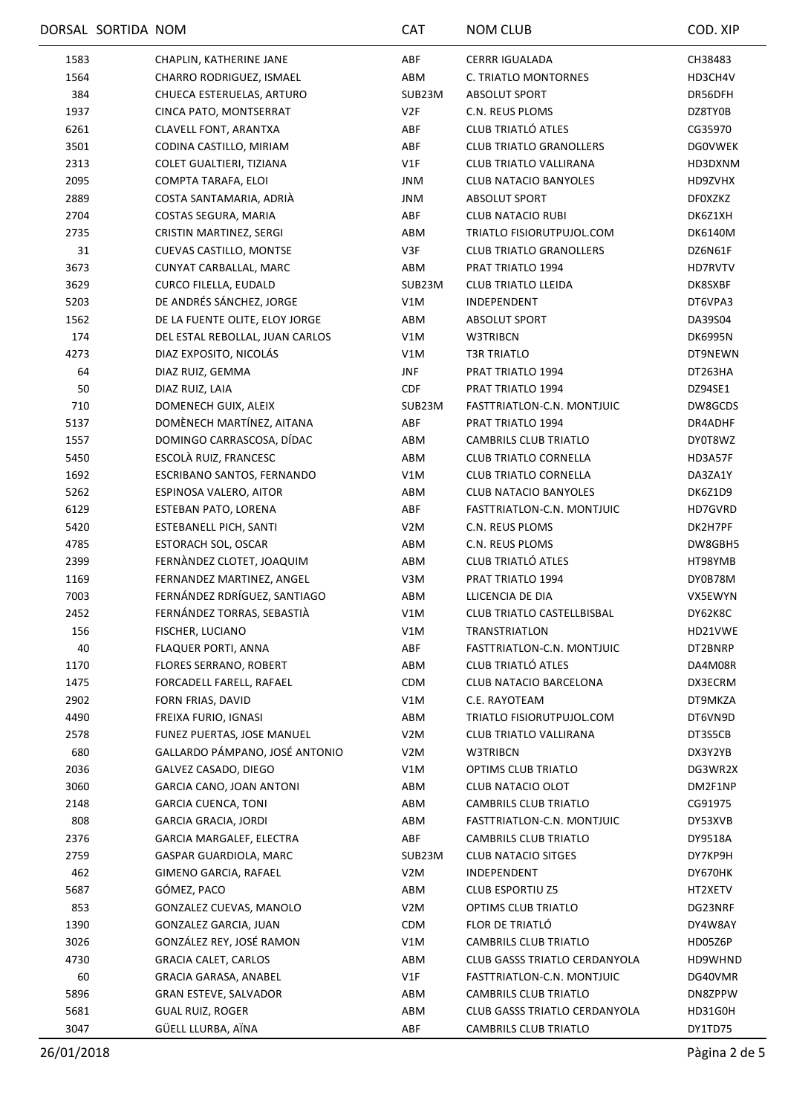|      | DORSAL SORTIDA NOM |                                 | <b>CAT</b>       | <b>NOM CLUB</b>                      | COD. XIP       |
|------|--------------------|---------------------------------|------------------|--------------------------------------|----------------|
| 1583 |                    | CHAPLIN, KATHERINE JANE         | ABF              | <b>CERRR IGUALADA</b>                | CH38483        |
| 1564 |                    | CHARRO RODRIGUEZ, ISMAEL        | ABM              | C. TRIATLO MONTORNES                 | HD3CH4V        |
| 384  |                    | CHUECA ESTERUELAS, ARTURO       | SUB23M           | <b>ABSOLUT SPORT</b>                 | DR56DFH        |
| 1937 |                    | CINCA PATO, MONTSERRAT          | V2F              | C.N. REUS PLOMS                      | DZ8TY0B        |
| 6261 |                    | CLAVELL FONT, ARANTXA           | ABF              | CLUB TRIATLÓ ATLES                   | CG35970        |
| 3501 |                    | CODINA CASTILLO, MIRIAM         | ABF              | <b>CLUB TRIATLO GRANOLLERS</b>       | <b>DGOVWEK</b> |
| 2313 |                    | COLET GUALTIERI, TIZIANA        | V1F              | CLUB TRIATLO VALLIRANA               | HD3DXNM        |
| 2095 |                    | COMPTA TARAFA, ELOI             | JNM              | <b>CLUB NATACIO BANYOLES</b>         | HD9ZVHX        |
| 2889 |                    | COSTA SANTAMARIA, ADRIÀ         | JNM              | ABSOLUT SPORT                        | <b>DFOXZKZ</b> |
| 2704 |                    | COSTAS SEGURA, MARIA            | ABF              | <b>CLUB NATACIO RUBI</b>             | DK6Z1XH        |
| 2735 |                    | CRISTIN MARTINEZ, SERGI         | ABM              | TRIATLO FISIORUTPUJOL.COM            | <b>DK6140M</b> |
| 31   |                    | CUEVAS CASTILLO, MONTSE         | V3F              | <b>CLUB TRIATLO GRANOLLERS</b>       | DZ6N61F        |
| 3673 |                    | CUNYAT CARBALLAL, MARC          | ABM              | PRAT TRIATLO 1994                    | HD7RVTV        |
| 3629 |                    | CURCO FILELLA, EUDALD           | SUB23M           | <b>CLUB TRIATLO LLEIDA</b>           | DK8SXBF        |
| 5203 |                    | DE ANDRÉS SÁNCHEZ, JORGE        | V1M              | INDEPENDENT                          | DT6VPA3        |
| 1562 |                    | DE LA FUENTE OLITE, ELOY JORGE  | ABM              | ABSOLUT SPORT                        | DA39S04        |
| 174  |                    | DEL ESTAL REBOLLAL, JUAN CARLOS | V1M              | W3TRIBCN                             | <b>DK6995N</b> |
| 4273 |                    | DIAZ EXPOSITO, NICOLÁS          | V1M              | T3R TRIATLO                          | DT9NEWN        |
| 64   |                    | DIAZ RUIZ, GEMMA                |                  | PRAT TRIATLO 1994                    |                |
|      |                    |                                 | <b>JNF</b>       |                                      | DT263HA        |
| 50   |                    | DIAZ RUIZ, LAIA                 | <b>CDF</b>       | PRAT TRIATLO 1994                    | DZ94SE1        |
| 710  |                    | DOMENECH GUIX, ALEIX            | SUB23M           | FASTTRIATLON-C.N. MONTJUIC           | DW8GCDS        |
| 5137 |                    | DOMÈNECH MARTÍNEZ, AITANA       | ABF              | PRAT TRIATLO 1994                    | DR4ADHF        |
| 1557 |                    | DOMINGO CARRASCOSA, DÍDAC       | ABM              | CAMBRILS CLUB TRIATLO                | DY0T8WZ        |
| 5450 |                    | ESCOLÀ RUIZ, FRANCESC           | ABM              | <b>CLUB TRIATLO CORNELLA</b>         | HD3A57F        |
| 1692 |                    | ESCRIBANO SANTOS, FERNANDO      | V1M              | <b>CLUB TRIATLO CORNELLA</b>         | DA3ZA1Y        |
| 5262 |                    | ESPINOSA VALERO, AITOR          | ABM              | <b>CLUB NATACIO BANYOLES</b>         | DK6Z1D9        |
| 6129 |                    | ESTEBAN PATO, LORENA            | ABF              | FASTTRIATLON-C.N. MONTJUIC           | HD7GVRD        |
| 5420 |                    | <b>ESTEBANELL PICH, SANTI</b>   | V <sub>2</sub> M | C.N. REUS PLOMS                      | DK2H7PF        |
| 4785 |                    | ESTORACH SOL, OSCAR             | ABM              | C.N. REUS PLOMS                      | DW8GBH5        |
| 2399 |                    | FERNÀNDEZ CLOTET, JOAQUIM       | ABM              | CLUB TRIATLÓ ATLES                   | HT98YMB        |
| 1169 |                    | FERNANDEZ MARTINEZ, ANGEL       | V3M              | PRAT TRIATLO 1994                    | DY0B78M        |
| 7003 |                    | FERNÁNDEZ RDRÍGUEZ, SANTIAGO    | ABM              | LLICENCIA DE DIA                     | VX5EWYN        |
| 2452 |                    | FERNÁNDEZ TORRAS, SEBASTIÀ      | V1M              | <b>CLUB TRIATLO CASTELLBISBAL</b>    | DY62K8C        |
| 156  |                    | FISCHER, LUCIANO                | V1M              | <b>TRANSTRIATLON</b>                 | HD21VWE        |
| 40   |                    | FLAQUER PORTI, ANNA             | ABF              | FASTTRIATLON-C.N. MONTJUIC           | DT2BNRP        |
| 1170 |                    | <b>FLORES SERRANO, ROBERT</b>   | ABM              | CLUB TRIATLÓ ATLES                   | DA4M08R        |
| 1475 |                    | FORCADELL FARELL, RAFAEL        | <b>CDM</b>       | CLUB NATACIO BARCELONA               | DX3ECRM        |
| 2902 |                    | FORN FRIAS, DAVID               | V1M              | C.E. RAYOTEAM                        | DT9MKZA        |
| 4490 |                    | FREIXA FURIO, IGNASI            | ABM              | TRIATLO FISIORUTPUJOL.COM            | DT6VN9D        |
| 2578 |                    | FUNEZ PUERTAS, JOSE MANUEL      | V <sub>2</sub> M | CLUB TRIATLO VALLIRANA               | DT3S5CB        |
| 680  |                    | GALLARDO PÁMPANO, JOSÉ ANTONIO  | V <sub>2</sub> M | W3TRIBCN                             | DX3Y2YB        |
| 2036 |                    | GALVEZ CASADO, DIEGO            | V1M              | OPTIMS CLUB TRIATLO                  | DG3WR2X        |
| 3060 |                    | GARCIA CANO, JOAN ANTONI        | ABM              | <b>CLUB NATACIO OLOT</b>             | DM2F1NP        |
| 2148 |                    | <b>GARCIA CUENCA, TONI</b>      | ABM              | CAMBRILS CLUB TRIATLO                | CG91975        |
| 808  |                    | <b>GARCIA GRACIA, JORDI</b>     | ABM              | FASTTRIATLON-C.N. MONTJUIC           | DY53XVB        |
| 2376 |                    | GARCIA MARGALEF, ELECTRA        | ABF              | CAMBRILS CLUB TRIATLO                | DY9518A        |
| 2759 |                    | GASPAR GUARDIOLA, MARC          | SUB23M           | <b>CLUB NATACIO SITGES</b>           | DY7KP9H        |
| 462  |                    | GIMENO GARCIA, RAFAEL           | V <sub>2</sub> M | INDEPENDENT                          | DY670HK        |
| 5687 |                    | GÓMEZ, PACO                     | ABM              | <b>CLUB ESPORTIU Z5</b>              | HT2XETV        |
| 853  |                    | GONZALEZ CUEVAS, MANOLO         | V <sub>2</sub> M | OPTIMS CLUB TRIATLO                  | DG23NRF        |
| 1390 |                    | GONZALEZ GARCIA, JUAN           | <b>CDM</b>       | FLOR DE TRIATLÓ                      | DY4W8AY        |
|      |                    | GONZÁLEZ REY, JOSÉ RAMON        |                  |                                      |                |
| 3026 |                    |                                 | V1M              | CAMBRILS CLUB TRIATLO                | HD05Z6P        |
| 4730 |                    | <b>GRACIA CALET, CARLOS</b>     | ABM              | <b>CLUB GASSS TRIATLO CERDANYOLA</b> | HD9WHND        |
| 60   |                    | GRACIA GARASA, ANABEL           | V1F              | FASTTRIATLON-C.N. MONTJUIC           | DG40VMR        |
| 5896 |                    | <b>GRAN ESTEVE, SALVADOR</b>    | ABM              | <b>CAMBRILS CLUB TRIATLO</b>         | DN8ZPPW        |
| 5681 |                    | <b>GUAL RUIZ, ROGER</b>         | ABM              | <b>CLUB GASSS TRIATLO CERDANYOLA</b> | HD31G0H        |
| 3047 |                    | GÜELL LLURBA, AÏNA              | ABF              | <b>CAMBRILS CLUB TRIATLO</b>         | DY1TD75        |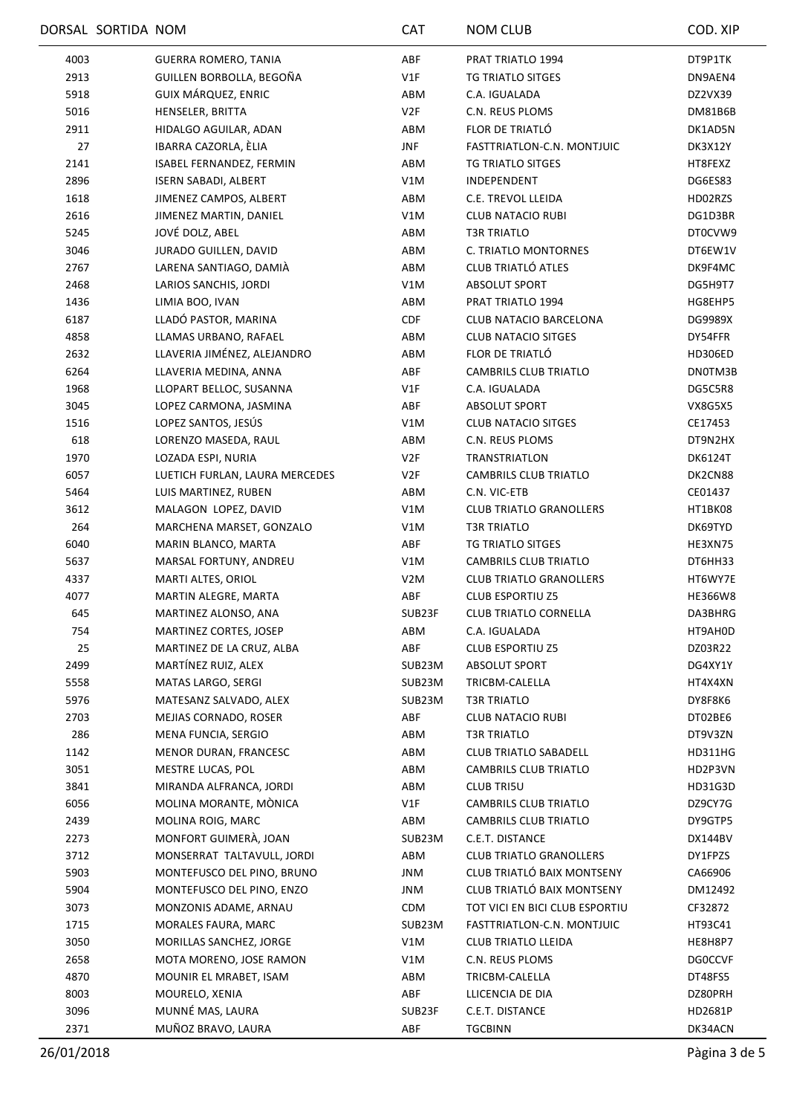|      | DORSAL SORTIDA NOM |                                | <b>CAT</b>       | <b>NOM CLUB</b>                | COD. XIP       |
|------|--------------------|--------------------------------|------------------|--------------------------------|----------------|
| 4003 |                    | <b>GUERRA ROMERO, TANIA</b>    | ABF              | PRAT TRIATLO 1994              | DT9P1TK        |
| 2913 |                    | GUILLEN BORBOLLA, BEGOÑA       | V1F              | TG TRIATLO SITGES              | DN9AEN4        |
| 5918 |                    | GUIX MÁRQUEZ, ENRIC            | ABM              | C.A. IGUALADA                  | DZ2VX39        |
| 5016 |                    | HENSELER, BRITTA               | V2F              | C.N. REUS PLOMS                | DM81B6B        |
| 2911 |                    | HIDALGO AGUILAR, ADAN          | ABM              | FLOR DE TRIATLÓ                | DK1AD5N        |
| 27   |                    | IBARRA CAZORLA, ÈLIA           | <b>JNF</b>       | FASTTRIATLON-C.N. MONTJUIC     | DK3X12Y        |
| 2141 |                    | ISABEL FERNANDEZ, FERMIN       | ABM              | TG TRIATLO SITGES              | HT8FEXZ        |
| 2896 |                    | <b>ISERN SABADI, ALBERT</b>    | V1M              | INDEPENDENT                    | DG6ES83        |
| 1618 |                    | JIMENEZ CAMPOS, ALBERT         | ABM              | C.E. TREVOL LLEIDA             | HD02RZS        |
| 2616 |                    | JIMENEZ MARTIN, DANIEL         | V1M              | <b>CLUB NATACIO RUBI</b>       | DG1D3BR        |
| 5245 |                    | JOVÉ DOLZ, ABEL                | ABM              | <b>T3R TRIATLO</b>             | DT0CVW9        |
| 3046 |                    | JURADO GUILLEN, DAVID          | ABM              | C. TRIATLO MONTORNES           | DT6EW1V        |
| 2767 |                    | LARENA SANTIAGO, DAMIÀ         | ABM              | CLUB TRIATLÓ ATLES             | DK9F4MC        |
| 2468 |                    | LARIOS SANCHIS, JORDI          | V1M              | <b>ABSOLUT SPORT</b>           | DG5H9T7        |
| 1436 |                    | LIMIA BOO, IVAN                | ABM              | PRAT TRIATLO 1994              | HG8EHP5        |
| 6187 |                    | LLADÓ PASTOR, MARINA           | CDF              | CLUB NATACIO BARCELONA         | DG9989X        |
| 4858 |                    | LLAMAS URBANO, RAFAEL          | ABM              | <b>CLUB NATACIO SITGES</b>     | DY54FFR        |
| 2632 |                    | LLAVERIA JIMÉNEZ, ALEJANDRO    | ABM              | FLOR DE TRIATLÓ                | HD306ED        |
| 6264 |                    | LLAVERIA MEDINA, ANNA          | ABF              | CAMBRILS CLUB TRIATLO          | DN0TM3B        |
|      |                    |                                |                  |                                |                |
| 1968 |                    | LLOPART BELLOC, SUSANNA        | V1F              | C.A. IGUALADA                  | DG5C5R8        |
| 3045 |                    | LOPEZ CARMONA, JASMINA         | ABF              | <b>ABSOLUT SPORT</b>           | <b>VX8G5X5</b> |
| 1516 |                    | LOPEZ SANTOS, JESÚS            | V1M              | <b>CLUB NATACIO SITGES</b>     | CE17453        |
| 618  |                    | LORENZO MASEDA, RAUL           | ABM              | C.N. REUS PLOMS                | DT9N2HX        |
| 1970 |                    | LOZADA ESPI, NURIA             | V2F              | <b>TRANSTRIATLON</b>           | <b>DK6124T</b> |
| 6057 |                    | LUETICH FURLAN, LAURA MERCEDES | V <sub>2F</sub>  | <b>CAMBRILS CLUB TRIATLO</b>   | DK2CN88        |
| 5464 |                    | LUIS MARTINEZ, RUBEN           | ABM              | C.N. VIC-ETB                   | CE01437        |
| 3612 |                    | MALAGON LOPEZ, DAVID           | V1M              | <b>CLUB TRIATLO GRANOLLERS</b> | HT1BK08        |
| 264  |                    | MARCHENA MARSET, GONZALO       | V1M              | <b>T3R TRIATLO</b>             | DK69TYD        |
| 6040 |                    | MARIN BLANCO, MARTA            | ABF              | TG TRIATLO SITGES              | HE3XN75        |
| 5637 |                    | MARSAL FORTUNY, ANDREU         | V1M              | <b>CAMBRILS CLUB TRIATLO</b>   | DT6HH33        |
| 4337 |                    | MARTI ALTES, ORIOL             | V <sub>2</sub> M | <b>CLUB TRIATLO GRANOLLERS</b> | HT6WY7E        |
| 4077 |                    | MARTIN ALEGRE, MARTA           | ABF              | <b>CLUB ESPORTIU Z5</b>        | <b>HE366W8</b> |
| 645  |                    | MARTINEZ ALONSO, ANA           | SUB23F           | <b>CLUB TRIATLO CORNELLA</b>   | DA3BHRG        |
| 754  |                    | MARTINEZ CORTES, JOSEP         | ABM              | C.A. IGUALADA                  | HT9AH0D        |
| 25   |                    | MARTINEZ DE LA CRUZ, ALBA      | ABF              | <b>CLUB ESPORTIU Z5</b>        | DZ03R22        |
| 2499 |                    | MARTÍNEZ RUIZ, ALEX            | SUB23M           | <b>ABSOLUT SPORT</b>           | DG4XY1Y        |
| 5558 |                    | MATAS LARGO, SERGI             | SUB23M           | TRICBM-CALELLA                 | HT4X4XN        |
| 5976 |                    | MATESANZ SALVADO, ALEX         | SUB23M           | <b>T3R TRIATLO</b>             | DY8F8K6        |
| 2703 |                    | MEJIAS CORNADO, ROSER          | ABF              | <b>CLUB NATACIO RUBI</b>       | DT02BE6        |
| 286  |                    | MENA FUNCIA, SERGIO            | ABM              | <b>T3R TRIATLO</b>             | DT9V3ZN        |
| 1142 |                    | <b>MENOR DURAN, FRANCESC</b>   | ABM              | <b>CLUB TRIATLO SABADELL</b>   | <b>HD311HG</b> |
| 3051 |                    | MESTRE LUCAS, POL              | ABM              | CAMBRILS CLUB TRIATLO          | HD2P3VN        |
| 3841 |                    | MIRANDA ALFRANCA, JORDI        | ABM              | <b>CLUB TRI5U</b>              | HD31G3D        |
| 6056 |                    | MOLINA MORANTE, MÒNICA         | V1F              | CAMBRILS CLUB TRIATLO          | DZ9CY7G        |
| 2439 |                    | MOLINA ROIG, MARC              | ABM              | CAMBRILS CLUB TRIATLO          | DY9GTP5        |
| 2273 |                    | MONFORT GUIMERÀ, JOAN          | SUB23M           | C.E.T. DISTANCE                | DX144BV        |
| 3712 |                    | MONSERRAT TALTAVULL, JORDI     | ABM              | <b>CLUB TRIATLO GRANOLLERS</b> | DY1FPZS        |
| 5903 |                    | MONTEFUSCO DEL PINO, BRUNO     | <b>JNM</b>       | CLUB TRIATLÓ BAIX MONTSENY     | CA66906        |
| 5904 |                    | MONTEFUSCO DEL PINO, ENZO      | JNM              | CLUB TRIATLÓ BAIX MONTSENY     | DM12492        |
| 3073 |                    | MONZONIS ADAME, ARNAU          | <b>CDM</b>       | TOT VICI EN BICI CLUB ESPORTIU | CF32872        |
| 1715 |                    | MORALES FAURA, MARC            | SUB23M           | FASTTRIATLON-C.N. MONTJUIC     | HT93C41        |
| 3050 |                    | MORILLAS SANCHEZ, JORGE        | V1M              | <b>CLUB TRIATLO LLEIDA</b>     | HE8H8P7        |
| 2658 |                    | MOTA MORENO, JOSE RAMON        | V1M              | C.N. REUS PLOMS                | <b>DGOCCVF</b> |
| 4870 |                    | MOUNIR EL MRABET, ISAM         | ABM              | TRICBM-CALELLA                 | DT48FS5        |
| 8003 |                    | MOURELO, XENIA                 | ABF              | LLICENCIA DE DIA               | DZ80PRH        |
| 3096 |                    | MUNNÉ MAS, LAURA               | SUB23F           | C.E.T. DISTANCE                | HD2681P        |
| 2371 |                    | MUÑOZ BRAVO, LAURA             | ABF              | <b>TGCBINN</b>                 | DK34ACN        |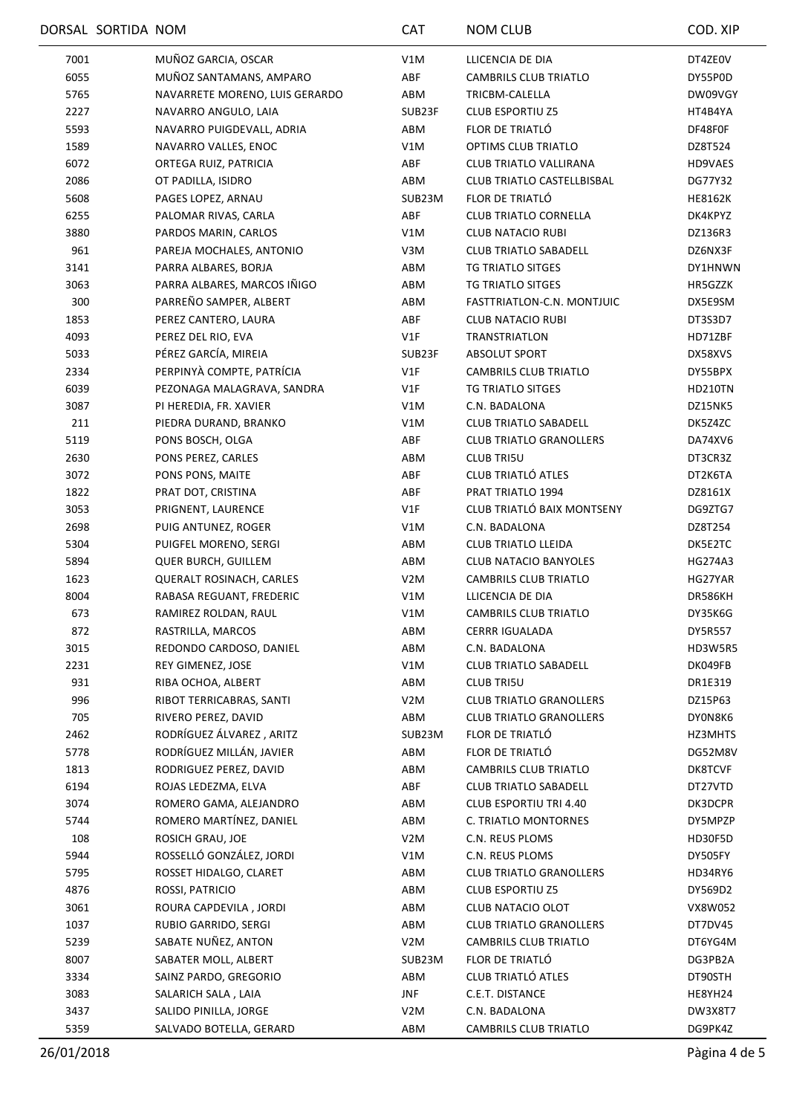|      | DORSAL SORTIDA NOM |                                 | <b>CAT</b>       | <b>NOM CLUB</b>                | COD. XIP       |
|------|--------------------|---------------------------------|------------------|--------------------------------|----------------|
| 7001 |                    | MUÑOZ GARCIA, OSCAR             | V1M              | LLICENCIA DE DIA               | DT4ZE0V        |
| 6055 |                    | MUÑOZ SANTAMANS, AMPARO         | ABF              | CAMBRILS CLUB TRIATLO          | DY55P0D        |
| 5765 |                    | NAVARRETE MORENO, LUIS GERARDO  | ABM              | TRICBM-CALELLA                 | DW09VGY        |
| 2227 |                    | NAVARRO ANGULO, LAIA            | SUB23F           | <b>CLUB ESPORTIU Z5</b>        | HT4B4YA        |
| 5593 |                    | NAVARRO PUIGDEVALL, ADRIA       | ABM              | FLOR DE TRIATLÓ                | DF48F0F        |
| 1589 |                    | NAVARRO VALLES, ENOC            | V1M              | OPTIMS CLUB TRIATLO            | DZ8T524        |
| 6072 |                    | ORTEGA RUIZ, PATRICIA           | ABF              | CLUB TRIATLO VALLIRANA         | HD9VAES        |
| 2086 |                    | OT PADILLA, ISIDRO              | ABM              | CLUB TRIATLO CASTELLBISBAL     | DG77Y32        |
| 5608 |                    | PAGES LOPEZ, ARNAU              | SUB23M           | FLOR DE TRIATLÓ                | <b>HE8162K</b> |
| 6255 |                    | PALOMAR RIVAS, CARLA            | ABF              | <b>CLUB TRIATLO CORNELLA</b>   | DK4KPYZ        |
| 3880 |                    | PARDOS MARIN, CARLOS            | V1M              | <b>CLUB NATACIO RUBI</b>       | DZ136R3        |
| 961  |                    | PAREJA MOCHALES, ANTONIO        | V3M              | <b>CLUB TRIATLO SABADELL</b>   | DZ6NX3F        |
| 3141 |                    | PARRA ALBARES, BORJA            | ABM              | TG TRIATLO SITGES              | DY1HNWN        |
| 3063 |                    | PARRA ALBARES, MARCOS IÑIGO     | ABM              | <b>TG TRIATLO SITGES</b>       | HR5GZZK        |
| 300  |                    | PARREÑO SAMPER, ALBERT          | ABM              | FASTTRIATLON-C.N. MONTJUIC     | DX5E9SM        |
| 1853 |                    | PEREZ CANTERO, LAURA            | ABF              | <b>CLUB NATACIO RUBI</b>       | DT3S3D7        |
| 4093 |                    | PEREZ DEL RIO, EVA              | V1F              | <b>TRANSTRIATLON</b>           | HD71ZBF        |
| 5033 |                    | PÉREZ GARCÍA, MIREIA            | SUB23F           | <b>ABSOLUT SPORT</b>           | DX58XVS        |
| 2334 |                    | PERPINYÀ COMPTE, PATRÍCIA       | VIF              | CAMBRILS CLUB TRIATLO          | DY55BPX        |
| 6039 |                    | PEZONAGA MALAGRAVA, SANDRA      | VIF              | TG TRIATLO SITGES              | HD210TN        |
| 3087 |                    |                                 | V1M              | C.N. BADALONA                  |                |
|      |                    | PI HEREDIA, FR. XAVIER          |                  |                                | DZ15NK5        |
| 211  |                    | PIEDRA DURAND, BRANKO           | V1M              | <b>CLUB TRIATLO SABADELL</b>   | DK5Z4ZC        |
| 5119 |                    | PONS BOSCH, OLGA                | ABF              | <b>CLUB TRIATLO GRANOLLERS</b> | DA74XV6        |
| 2630 |                    | PONS PEREZ, CARLES              | ABM              | <b>CLUB TRI5U</b>              | DT3CR3Z        |
| 3072 |                    | PONS PONS, MAITE                | ABF              | CLUB TRIATLÓ ATLES             | DT2K6TA        |
| 1822 |                    | PRAT DOT, CRISTINA              | ABF              | PRAT TRIATLO 1994              | DZ8161X        |
| 3053 |                    | PRIGNENT, LAURENCE              | V1F              | CLUB TRIATLÓ BAIX MONTSENY     | DG9ZTG7        |
| 2698 |                    | PUIG ANTUNEZ, ROGER             | V1M              | C.N. BADALONA                  | DZ8T254        |
| 5304 |                    | PUIGFEL MORENO, SERGI           | ABM              | <b>CLUB TRIATLO LLEIDA</b>     | DK5E2TC        |
| 5894 |                    | <b>QUER BURCH, GUILLEM</b>      | ABM              | <b>CLUB NATACIO BANYOLES</b>   | HG274A3        |
| 1623 |                    | <b>QUERALT ROSINACH, CARLES</b> | V <sub>2</sub> M | CAMBRILS CLUB TRIATLO          | HG27YAR        |
| 8004 |                    | RABASA REGUANT, FREDERIC        | V1M              | LLICENCIA DE DIA               | DR586KH        |
| 673  |                    | RAMIREZ ROLDAN, RAUL            | V1M              | <b>CAMBRILS CLUB TRIATLO</b>   | DY35K6G        |
| 872  |                    | RASTRILLA, MARCOS               | ABM              | CERRR IGUALADA                 | DY5R557        |
| 3015 |                    | REDONDO CARDOSO, DANIEL         | ABM              | C.N. BADALONA                  | HD3W5R5        |
| 2231 |                    | REY GIMENEZ, JOSE               | V1M              | <b>CLUB TRIATLO SABADELL</b>   | DK049FB        |
| 931  |                    | RIBA OCHOA, ALBERT              | ABM              | <b>CLUB TRI5U</b>              | DR1E319        |
| 996  |                    | RIBOT TERRICABRAS, SANTI        | V <sub>2</sub> M | <b>CLUB TRIATLO GRANOLLERS</b> | DZ15P63        |
| 705  |                    | RIVERO PEREZ, DAVID             | ABM              | <b>CLUB TRIATLO GRANOLLERS</b> | DY0N8K6        |
| 2462 |                    | RODRÍGUEZ ÁLVAREZ, ARITZ        | SUB23M           | FLOR DE TRIATLÓ                | HZ3MHTS        |
| 5778 |                    | RODRÍGUEZ MILLÁN, JAVIER        | ABM              | FLOR DE TRIATLÓ                | DG52M8V        |
| 1813 |                    | RODRIGUEZ PEREZ, DAVID          | ABM              | <b>CAMBRILS CLUB TRIATLO</b>   | DK8TCVF        |
| 6194 |                    | ROJAS LEDEZMA, ELVA             | ABF              | <b>CLUB TRIATLO SABADELL</b>   | DT27VTD        |
| 3074 |                    | ROMERO GAMA, ALEJANDRO          | ABM              | CLUB ESPORTIU TRI 4.40         | DK3DCPR        |
| 5744 |                    | ROMERO MARTÍNEZ, DANIEL         | ABM              | C. TRIATLO MONTORNES           | DY5MPZP        |
| 108  |                    | ROSICH GRAU, JOE                | V2M              | C.N. REUS PLOMS                | HD30F5D        |
| 5944 |                    | ROSSELLÓ GONZÁLEZ, JORDI        | V1M              | C.N. REUS PLOMS                | DY505FY        |
| 5795 |                    | ROSSET HIDALGO, CLARET          | ABM              | <b>CLUB TRIATLO GRANOLLERS</b> | HD34RY6        |
| 4876 |                    | ROSSI, PATRICIO                 | ABM              | <b>CLUB ESPORTIU Z5</b>        | DY569D2        |
| 3061 |                    | ROURA CAPDEVILA, JORDI          | ABM              | CLUB NATACIO OLOT              | VX8W052        |
| 1037 |                    | RUBIO GARRIDO, SERGI            | ABM              | <b>CLUB TRIATLO GRANOLLERS</b> | DT7DV45        |
| 5239 |                    | SABATE NUÑEZ, ANTON             | V <sub>2</sub> M | CAMBRILS CLUB TRIATLO          | DT6YG4M        |
| 8007 |                    | SABATER MOLL, ALBERT            | SUB23M           | FLOR DE TRIATLÓ                | DG3PB2A        |
| 3334 |                    | SAINZ PARDO, GREGORIO           | ABM              | CLUB TRIATLÓ ATLES             | DT90STH        |
| 3083 |                    | SALARICH SALA, LAIA             | <b>JNF</b>       | C.E.T. DISTANCE                | HE8YH24        |
| 3437 |                    | SALIDO PINILLA, JORGE           | V <sub>2</sub> M | C.N. BADALONA                  | DW3X8T7        |
| 5359 |                    | SALVADO BOTELLA, GERARD         | ABM              | CAMBRILS CLUB TRIATLO          | DG9PK4Z        |
|      |                    |                                 |                  |                                |                |